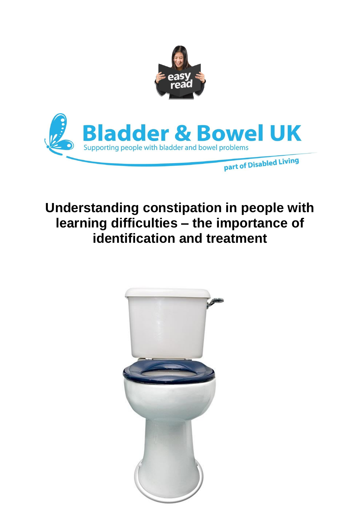

# **Understanding constipation in people with learning difficulties – the importance of identification and treatment**

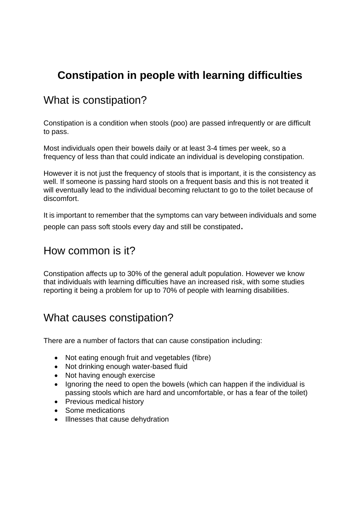# **Constipation in people with learning difficulties**

### What is constipation?

Constipation is a condition when stools (poo) are passed infrequently or are difficult to pass.

Most individuals open their bowels daily or at least 3-4 times per week, so a frequency of less than that could indicate an individual is developing constipation.

However it is not just the frequency of stools that is important, it is the consistency as well. If someone is passing hard stools on a frequent basis and this is not treated it will eventually lead to the individual becoming reluctant to go to the toilet because of discomfort.

It is important to remember that the symptoms can vary between individuals and some people can pass soft stools every day and still be constipated.

### How common is it?

Constipation affects up to 30% of the general adult population. However we know that individuals with learning difficulties have an increased risk, with some studies reporting it being a problem for up to 70% of people with learning disabilities.

### What causes constipation?

There are a number of factors that can cause constipation including:

- Not eating enough fruit and vegetables (fibre)
- Not drinking enough water-based fluid
- Not having enough exercise
- Ignoring the need to open the bowels (which can happen if the individual is passing stools which are hard and uncomfortable, or has a fear of the toilet)
- Previous medical history
- Some medications
- Illnesses that cause dehydration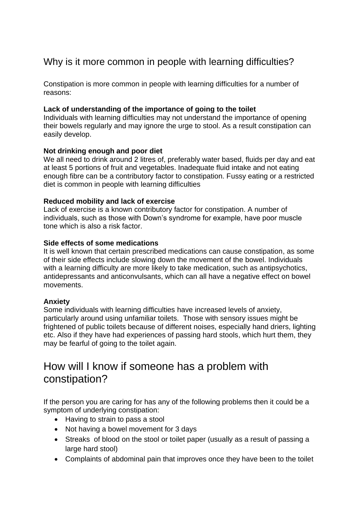### Why is it more common in people with learning difficulties?

Constipation is more common in people with learning difficulties for a number of reasons:

#### **Lack of understanding of the importance of going to the toilet**

Individuals with learning difficulties may not understand the importance of opening their bowels regularly and may ignore the urge to stool. As a result constipation can easily develop.

#### **Not drinking enough and poor diet**

We all need to drink around 2 litres of, preferably water based, fluids per day and eat at least 5 portions of fruit and vegetables. Inadequate fluid intake and not eating enough fibre can be a contributory factor to constipation. Fussy eating or a restricted diet is common in people with learning difficulties

#### **Reduced mobility and lack of exercise**

Lack of exercise is a known contributory factor for constipation. A number of individuals, such as those with Down's syndrome for example, have poor muscle tone which is also a risk factor.

#### **Side effects of some medications**

It is well known that certain prescribed medications can cause constipation, as some of their side effects include slowing down the movement of the bowel. Individuals with a learning difficulty are more likely to take medication, such as antipsychotics, antidepressants and anticonvulsants, which can all have a negative effect on bowel movements.

#### **Anxiety**

Some individuals with learning difficulties have increased levels of anxiety, particularly around using unfamiliar toilets. Those with sensory issues might be frightened of public toilets because of different noises, especially hand driers, lighting etc. Also if they have had experiences of passing hard stools, which hurt them, they may be fearful of going to the toilet again.

### How will I know if someone has a problem with constipation?

If the person you are caring for has any of the following problems then it could be a symptom of underlying constipation:

- Having to strain to pass a stool
- Not having a bowel movement for 3 days
- Streaks of blood on the stool or toilet paper (usually as a result of passing a large hard stool)
- Complaints of abdominal pain that improves once they have been to the toilet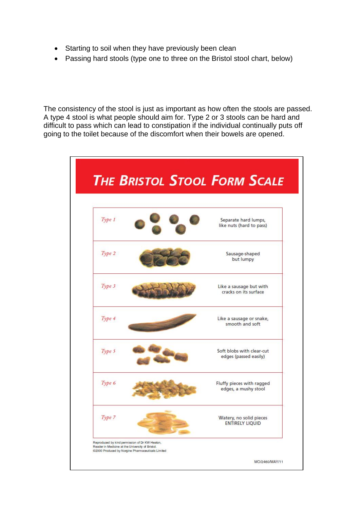- Starting to soil when they have previously been clean
- Passing hard stools (type one to three on the Bristol stool chart, below)

The consistency of the stool is just as important as how often the stools are passed. A type 4 stool is what people should aim for. Type 2 or 3 stools can be hard and difficult to pass which can lead to constipation if the individual continually puts off going to the toilet because of the discomfort when their bowels are opened.

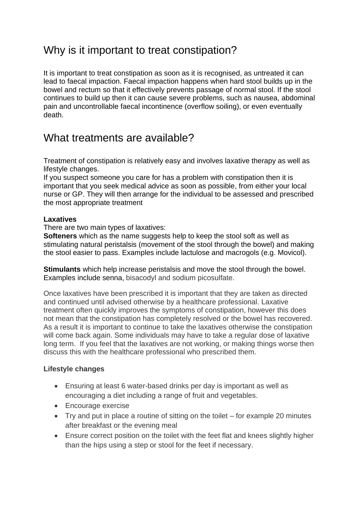## Why is it important to treat constipation?

It is important to treat constipation as soon as it is recognised, as untreated it can lead to faecal impaction. Faecal impaction happens when hard stool builds up in the bowel and rectum so that it effectively prevents passage of normal stool. If the stool continues to build up then it can cause severe problems, such as nausea, abdominal pain and uncontrollable faecal incontinence (overflow soiling), or even eventually death.

### What treatments are available?

Treatment of constipation is relatively easy and involves laxative therapy as well as lifestyle changes.

If you suspect someone you care for has a problem with constipation then it is important that you seek medical advice as soon as possible, from either your local nurse or GP. They will then arrange for the individual to be assessed and prescribed the most appropriate treatment

#### **Laxatives**

There are two main types of laxatives:

**Softeners** which as the name suggests help to keep the stool soft as well as stimulating natural peristalsis (movement of the stool through the bowel) and making the stool easier to pass. Examples include lactulose and macrogols (e.g. Movicol).

**Stimulants** which help increase peristalsis and move the stool through the bowel. Examples include senna, bisacodyl and sodium picosulfate.

Once laxatives have been prescribed it is important that they are taken as directed and continued until advised otherwise by a healthcare professional. Laxative treatment often quickly improves the symptoms of constipation, however this does not mean that the constipation has completely resolved or the bowel has recovered. As a result it is important to continue to take the laxatives otherwise the constipation will come back again. Some individuals may have to take a regular dose of laxative long term. If you feel that the laxatives are not working, or making things worse then discuss this with the healthcare professional who prescribed them.

#### **Lifestyle changes**

- Ensuring at least 6 water-based drinks per day is important as well as encouraging a diet including a range of fruit and vegetables.
- Encourage exercise
- Try and put in place a routine of sitting on the toilet for example 20 minutes after breakfast or the evening meal
- Ensure correct position on the toilet with the feet flat and knees slightly higher than the hips using a step or stool for the feet if necessary.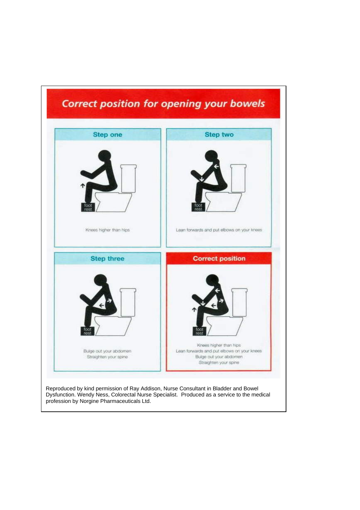